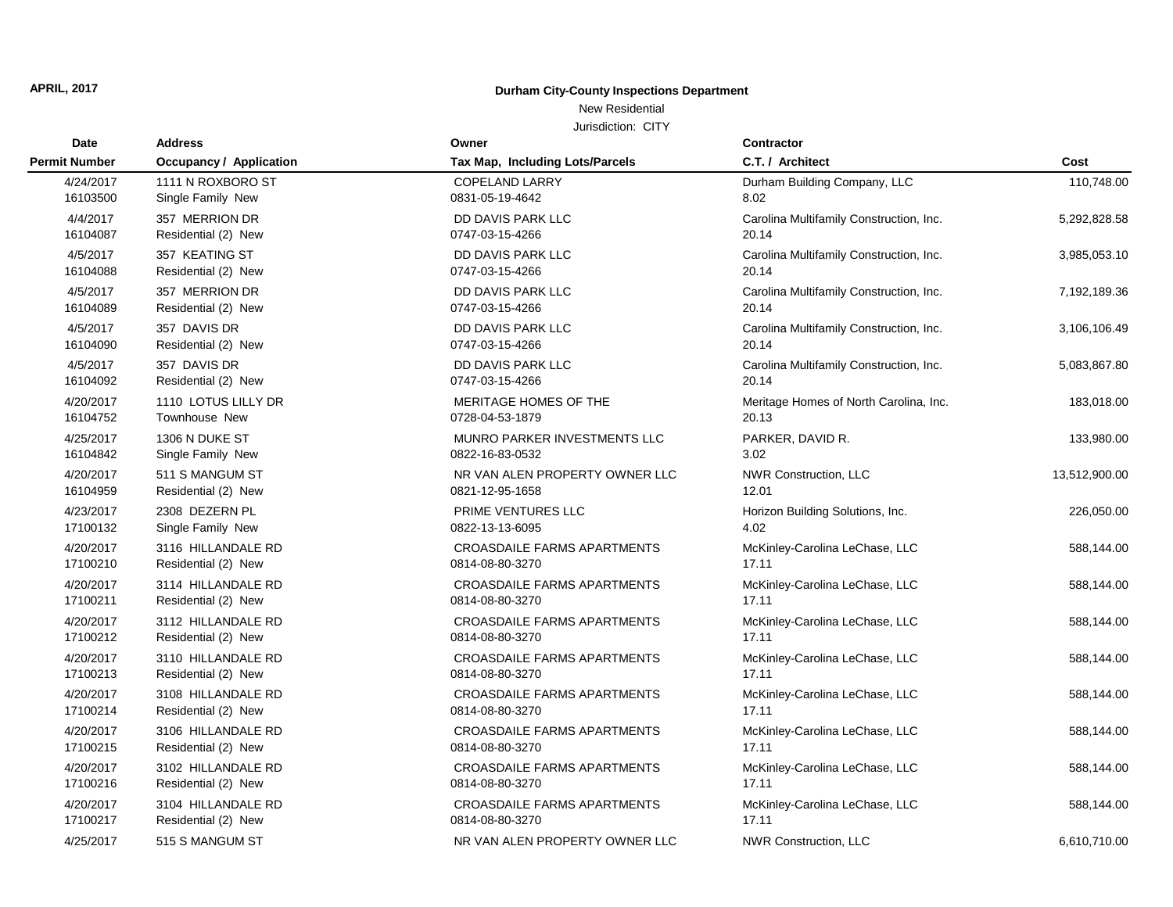# New Residential

| <b>Date</b>          | <b>Address</b>          | Owner                              | Contractor                              |               |
|----------------------|-------------------------|------------------------------------|-----------------------------------------|---------------|
| <b>Permit Number</b> | Occupancy / Application | Tax Map, Including Lots/Parcels    | C.T. / Architect                        | Cost          |
| 4/24/2017            | 1111 N ROXBORO ST       | <b>COPELAND LARRY</b>              | Durham Building Company, LLC            | 110,748.00    |
| 16103500             | Single Family New       | 0831-05-19-4642                    | 8.02                                    |               |
| 4/4/2017             | 357 MERRION DR          | DD DAVIS PARK LLC                  | Carolina Multifamily Construction, Inc. | 5,292,828.58  |
| 16104087             | Residential (2) New     | 0747-03-15-4266                    | 20.14                                   |               |
| 4/5/2017             | 357 KEATING ST          | DD DAVIS PARK LLC                  | Carolina Multifamily Construction, Inc. | 3,985,053.10  |
| 16104088             | Residential (2) New     | 0747-03-15-4266                    | 20.14                                   |               |
| 4/5/2017             | 357 MERRION DR          | DD DAVIS PARK LLC                  | Carolina Multifamily Construction, Inc. | 7,192,189.36  |
| 16104089             | Residential (2) New     | 0747-03-15-4266                    | 20.14                                   |               |
| 4/5/2017             | 357 DAVIS DR            | DD DAVIS PARK LLC                  | Carolina Multifamily Construction, Inc. | 3,106,106.49  |
| 16104090             | Residential (2) New     | 0747-03-15-4266                    | 20.14                                   |               |
| 4/5/2017             | 357 DAVIS DR            | DD DAVIS PARK LLC                  | Carolina Multifamily Construction, Inc. | 5,083,867.80  |
| 16104092             | Residential (2) New     | 0747-03-15-4266                    | 20.14                                   |               |
| 4/20/2017            | 1110 LOTUS LILLY DR     | MERITAGE HOMES OF THE              | Meritage Homes of North Carolina, Inc.  | 183,018.00    |
| 16104752             | Townhouse New           | 0728-04-53-1879                    | 20.13                                   |               |
| 4/25/2017            | 1306 N DUKE ST          | MUNRO PARKER INVESTMENTS LLC       | PARKER, DAVID R.                        | 133,980.00    |
| 16104842             | Single Family New       | 0822-16-83-0532                    | 3.02                                    |               |
| 4/20/2017            | 511 S MANGUM ST         | NR VAN ALEN PROPERTY OWNER LLC     | NWR Construction, LLC                   | 13,512,900.00 |
| 16104959             | Residential (2) New     | 0821-12-95-1658                    | 12.01                                   |               |
| 4/23/2017            | 2308 DEZERN PL          | PRIME VENTURES LLC                 | Horizon Building Solutions, Inc.        | 226,050.00    |
| 17100132             | Single Family New       | 0822-13-13-6095                    | 4.02                                    |               |
| 4/20/2017            | 3116 HILLANDALE RD      | <b>CROASDAILE FARMS APARTMENTS</b> | McKinley-Carolina LeChase, LLC          | 588,144.00    |
| 17100210             | Residential (2) New     | 0814-08-80-3270                    | 17.11                                   |               |
| 4/20/2017            | 3114 HILLANDALE RD      | CROASDAILE FARMS APARTMENTS        | McKinley-Carolina LeChase, LLC          | 588,144.00    |
| 17100211             | Residential (2) New     | 0814-08-80-3270                    | 17.11                                   |               |
| 4/20/2017            | 3112 HILLANDALE RD      | CROASDAILE FARMS APARTMENTS        | McKinley-Carolina LeChase, LLC          | 588,144.00    |
| 17100212             | Residential (2) New     | 0814-08-80-3270                    | 17.11                                   |               |
| 4/20/2017            | 3110 HILLANDALE RD      | <b>CROASDAILE FARMS APARTMENTS</b> | McKinley-Carolina LeChase, LLC          | 588,144.00    |
| 17100213             | Residential (2) New     | 0814-08-80-3270                    | 17.11                                   |               |
| 4/20/2017            | 3108 HILLANDALE RD      | <b>CROASDAILE FARMS APARTMENTS</b> | McKinley-Carolina LeChase, LLC          | 588,144.00    |
| 17100214             | Residential (2) New     | 0814-08-80-3270                    | 17.11                                   |               |
| 4/20/2017            | 3106 HILLANDALE RD      | <b>CROASDAILE FARMS APARTMENTS</b> | McKinley-Carolina LeChase, LLC          | 588,144.00    |
| 17100215             | Residential (2) New     | 0814-08-80-3270                    | 17.11                                   |               |
| 4/20/2017            | 3102 HILLANDALE RD      | <b>CROASDAILE FARMS APARTMENTS</b> | McKinley-Carolina LeChase, LLC          | 588,144.00    |
| 17100216             | Residential (2) New     | 0814-08-80-3270                    | 17.11                                   |               |
| 4/20/2017            | 3104 HILLANDALE RD      | <b>CROASDAILE FARMS APARTMENTS</b> | McKinley-Carolina LeChase, LLC          | 588,144.00    |
| 17100217             | Residential (2) New     | 0814-08-80-3270                    | 17.11                                   |               |
| 4/25/2017            | 515 S MANGUM ST         | NR VAN ALEN PROPERTY OWNER LLC     | NWR Construction, LLC                   | 6,610,710.00  |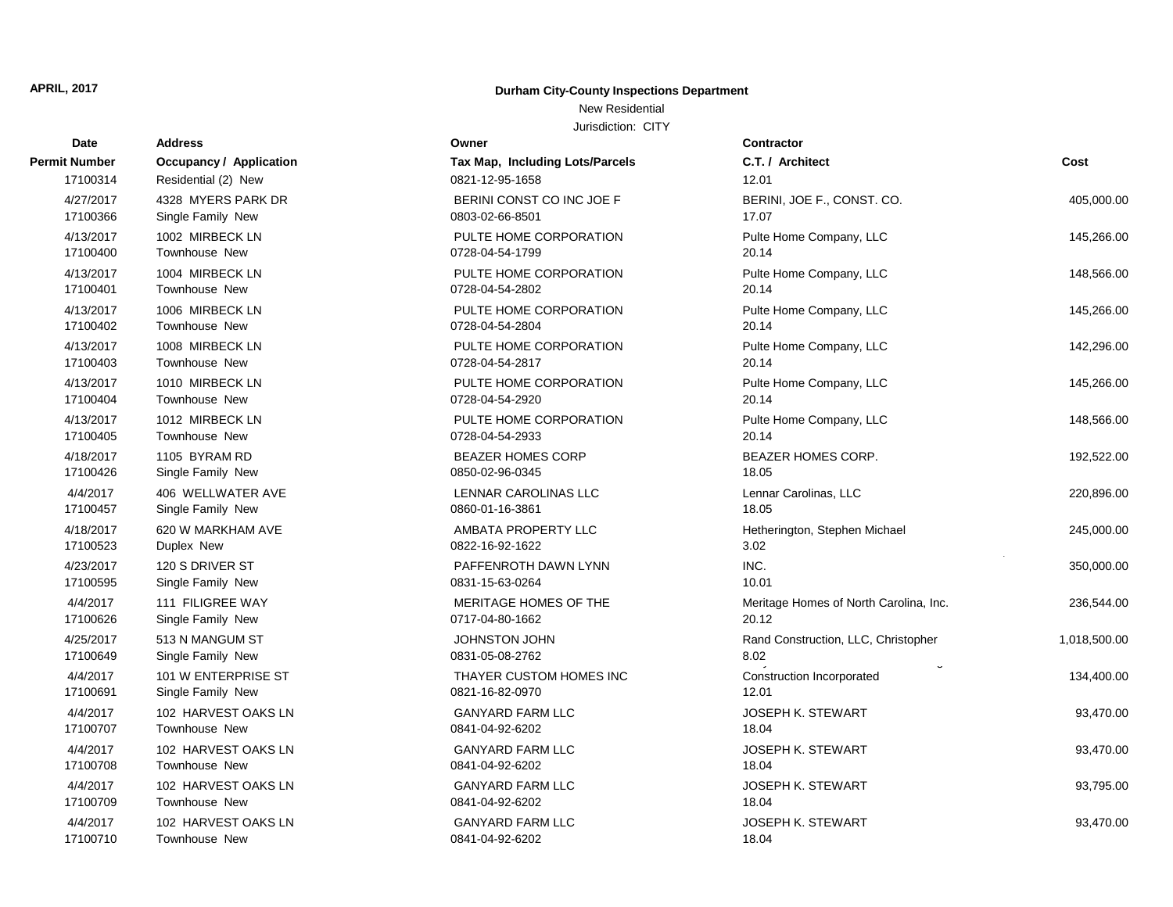#### New Residential

| Date          | <b>Address</b>          | Owner                           | <b>Contractor</b>                      |              |
|---------------|-------------------------|---------------------------------|----------------------------------------|--------------|
| Permit Number | Occupancy / Application | Tax Map, Including Lots/Parcels | C.T. / Architect                       | Cost         |
| 17100314      | Residential (2) New     | 0821-12-95-1658                 | 12.01                                  |              |
| 4/27/2017     | 4328 MYERS PARK DR      | BERINI CONST CO INC JOE F       | BERINI, JOE F., CONST. CO.             | 405,000.00   |
| 17100366      | Single Family New       | 0803-02-66-8501                 | 17.07                                  |              |
| 4/13/2017     | 1002 MIRBECK LN         | PULTE HOME CORPORATION          | Pulte Home Company, LLC                | 145.266.00   |
| 17100400      | <b>Townhouse New</b>    | 0728-04-54-1799                 | 20.14                                  |              |
| 4/13/2017     | 1004 MIRBECK LN         | PULTE HOME CORPORATION          | Pulte Home Company, LLC                | 148,566.00   |
| 17100401      | <b>Townhouse New</b>    | 0728-04-54-2802                 | 20.14                                  |              |
| 4/13/2017     | 1006 MIRBECK LN         | PULTE HOME CORPORATION          | Pulte Home Company, LLC                | 145,266.00   |
| 17100402      | Townhouse New           | 0728-04-54-2804                 | 20.14                                  |              |
| 4/13/2017     | 1008 MIRBECK LN         | PULTE HOME CORPORATION          | Pulte Home Company, LLC                | 142,296.00   |
| 17100403      | Townhouse New           | 0728-04-54-2817                 | 20.14                                  |              |
| 4/13/2017     | 1010 MIRBECK LN         | PULTE HOME CORPORATION          | Pulte Home Company, LLC                | 145,266.00   |
| 17100404      | Townhouse New           | 0728-04-54-2920                 | 20.14                                  |              |
| 4/13/2017     | 1012 MIRBECK LN         | PULTE HOME CORPORATION          | Pulte Home Company, LLC                | 148,566.00   |
| 17100405      | Townhouse New           | 0728-04-54-2933                 | 20.14                                  |              |
| 4/18/2017     | 1105 BYRAM RD           | <b>BEAZER HOMES CORP</b>        | <b>BEAZER HOMES CORP.</b>              | 192,522.00   |
| 17100426      | Single Family New       | 0850-02-96-0345                 | 18.05                                  |              |
| 4/4/2017      | 406 WELLWATER AVE       | LENNAR CAROLINAS LLC            | Lennar Carolinas, LLC                  | 220,896.00   |
| 17100457      | Single Family New       | 0860-01-16-3861                 | 18.05                                  |              |
| 4/18/2017     | 620 W MARKHAM AVE       | AMBATA PROPERTY LLC             | Hetherington, Stephen Michael          | 245,000.00   |
| 17100523      | Duplex New              | 0822-16-92-1622                 | 3.02                                   |              |
| 4/23/2017     | 120 S DRIVER ST         | PAFFENROTH DAWN LYNN            | INC.                                   | 350,000.00   |
| 17100595      | Single Family New       | 0831-15-63-0264                 | 10.01                                  |              |
| 4/4/2017      | 111 FILIGREE WAY        | MERITAGE HOMES OF THE           | Meritage Homes of North Carolina, Inc. | 236,544.00   |
| 17100626      | Single Family New       | 0717-04-80-1662                 | 20.12                                  |              |
| 4/25/2017     | 513 N MANGUM ST         | <b>JOHNSTON JOHN</b>            | Rand Construction, LLC, Christopher    | 1,018,500.00 |
| 17100649      | Single Family New       | 0831-05-08-2762                 | 8.02                                   |              |
| 4/4/2017      | 101 W ENTERPRISE ST     | THAYER CUSTOM HOMES INC         | Construction Incorporated              | 134,400.00   |
| 17100691      | Single Family New       | 0821-16-82-0970                 | 12.01                                  |              |
| 4/4/2017      | 102 HARVEST OAKS LN     | <b>GANYARD FARM LLC</b>         | <b>JOSEPH K. STEWART</b>               | 93,470.00    |
| 17100707      | Townhouse New           | 0841-04-92-6202                 | 18.04                                  |              |
| 4/4/2017      | 102 HARVEST OAKS LN     | <b>GANYARD FARM LLC</b>         | <b>JOSEPH K. STEWART</b>               | 93,470.00    |
| 17100708      | Townhouse New           | 0841-04-92-6202                 | 18.04                                  |              |
| 4/4/2017      | 102 HARVEST OAKS LN     | <b>GANYARD FARM LLC</b>         | <b>JOSEPH K. STEWART</b>               | 93,795.00    |
| 17100709      | Townhouse New           | 0841-04-92-6202                 | 18.04                                  |              |
| 4/4/2017      | 102 HARVEST OAKS LN     | <b>GANYARD FARM LLC</b>         | <b>JOSEPH K. STEWART</b>               | 93,470.00    |
| 17100710      | Townhouse New           | 0841-04-92-6202                 | 18.04                                  |              |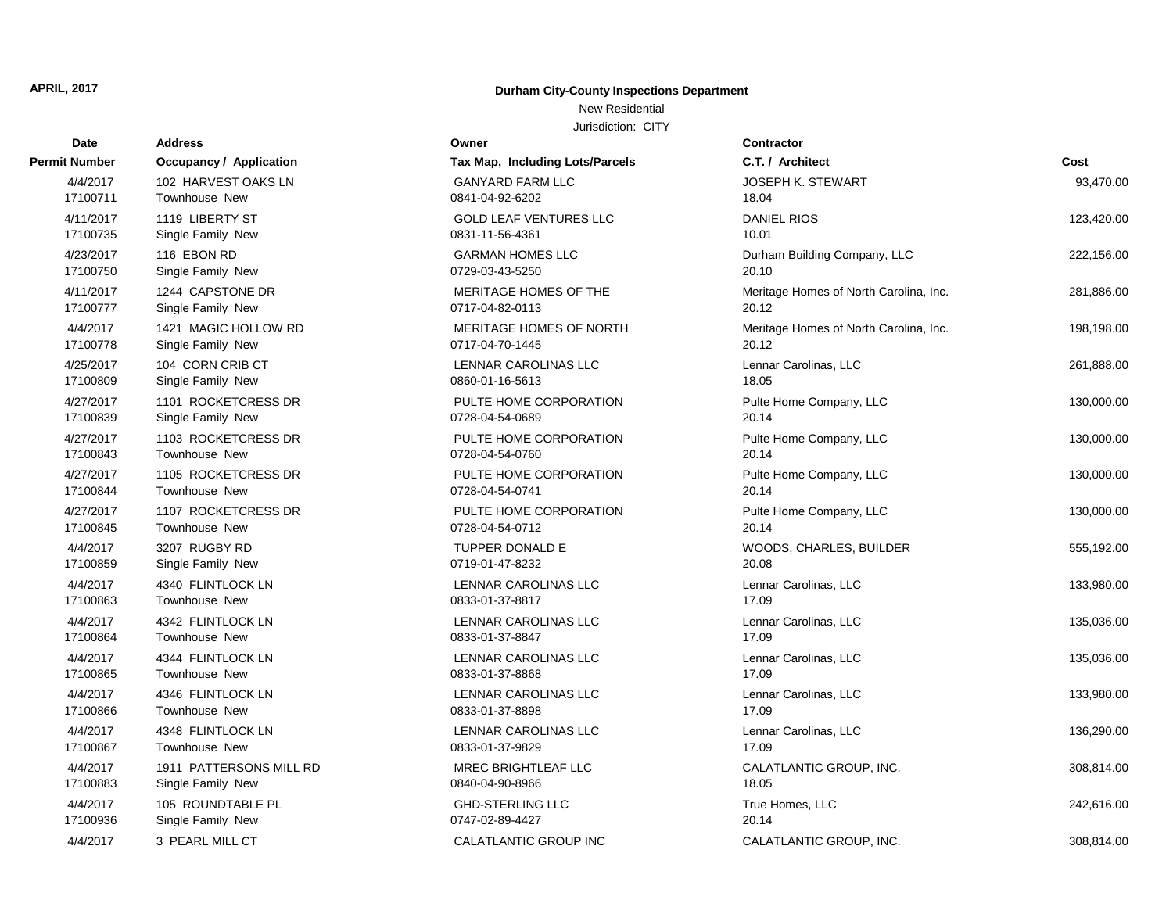#### New Residential

| Date          | <b>Address</b>                 | Owner                           | <b>Contractor</b>                      |            |
|---------------|--------------------------------|---------------------------------|----------------------------------------|------------|
| Permit Number | <b>Occupancy / Application</b> | Tax Map, Including Lots/Parcels | C.T. / Architect                       | Cost       |
| 4/4/2017      | 102 HARVEST OAKS LN            | <b>GANYARD FARM LLC</b>         | <b>JOSEPH K. STEWART</b>               | 93,470.00  |
| 17100711      | <b>Townhouse New</b>           | 0841-04-92-6202                 | 18.04                                  |            |
| 4/11/2017     | 1119 LIBERTY ST                | <b>GOLD LEAF VENTURES LLC</b>   | <b>DANIEL RIOS</b>                     | 123,420.00 |
| 17100735      | Single Family New              | 0831-11-56-4361                 | 10.01                                  |            |
| 4/23/2017     | 116 EBON RD                    | <b>GARMAN HOMES LLC</b>         | Durham Building Company, LLC           | 222,156.00 |
| 17100750      | Single Family New              | 0729-03-43-5250                 | 20.10                                  |            |
| 4/11/2017     | 1244 CAPSTONE DR               | MERITAGE HOMES OF THE           | Meritage Homes of North Carolina, Inc. | 281,886.00 |
| 17100777      | Single Family New              | 0717-04-82-0113                 | 20.12                                  |            |
| 4/4/2017      | 1421 MAGIC HOLLOW RD           | <b>MERITAGE HOMES OF NORTH</b>  | Meritage Homes of North Carolina, Inc. | 198,198.00 |
| 17100778      | Single Family New              | 0717-04-70-1445                 | 20.12                                  |            |
| 4/25/2017     | 104 CORN CRIB CT               | LENNAR CAROLINAS LLC            | Lennar Carolinas, LLC                  | 261,888.00 |
| 17100809      | Single Family New              | 0860-01-16-5613                 | 18.05                                  |            |
| 4/27/2017     | 1101 ROCKETCRESS DR            | PULTE HOME CORPORATION          | Pulte Home Company, LLC                | 130,000.00 |
| 17100839      | Single Family New              | 0728-04-54-0689                 | 20.14                                  |            |
| 4/27/2017     | 1103 ROCKETCRESS DR            | PULTE HOME CORPORATION          | Pulte Home Company, LLC                | 130,000.00 |
| 17100843      | <b>Townhouse New</b>           | 0728-04-54-0760                 | 20.14                                  |            |
| 4/27/2017     | 1105 ROCKETCRESS DR            | PULTE HOME CORPORATION          | Pulte Home Company, LLC                | 130,000.00 |
| 17100844      | <b>Townhouse New</b>           | 0728-04-54-0741                 | 20.14                                  |            |
| 4/27/2017     | 1107 ROCKETCRESS DR            | PULTE HOME CORPORATION          | Pulte Home Company, LLC                | 130,000.00 |
| 17100845      | <b>Townhouse New</b>           | 0728-04-54-0712                 | 20.14                                  |            |
| 4/4/2017      | 3207 RUGBY RD                  | TUPPER DONALD E                 | WOODS, CHARLES, BUILDER                | 555,192.00 |
| 17100859      | Single Family New              | 0719-01-47-8232                 | 20.08                                  |            |
| 4/4/2017      | 4340 FLINTLOCK LN              | LENNAR CAROLINAS LLC            | Lennar Carolinas, LLC                  | 133,980.00 |
| 17100863      | <b>Townhouse New</b>           | 0833-01-37-8817                 | 17.09                                  |            |
| 4/4/2017      | 4342 FLINTLOCK LN              | LENNAR CAROLINAS LLC            | Lennar Carolinas, LLC                  | 135,036.00 |
| 17100864      | <b>Townhouse New</b>           | 0833-01-37-8847                 | 17.09                                  |            |
| 4/4/2017      | 4344 FLINTLOCK LN              | LENNAR CAROLINAS LLC            | Lennar Carolinas, LLC                  | 135,036.00 |
| 17100865      | <b>Townhouse New</b>           | 0833-01-37-8868                 | 17.09                                  |            |
| 4/4/2017      | 4346 FLINTLOCK LN              | LENNAR CAROLINAS LLC            | Lennar Carolinas, LLC                  | 133,980.00 |
| 17100866      | Townhouse New                  | 0833-01-37-8898                 | 17.09                                  |            |
| 4/4/2017      | 4348 FLINTLOCK LN              | LENNAR CAROLINAS LLC            | Lennar Carolinas, LLC                  | 136,290.00 |
| 17100867      | <b>Townhouse New</b>           | 0833-01-37-9829                 | 17.09                                  |            |
| 4/4/2017      | 1911 PATTERSONS MILL RD        | <b>MREC BRIGHTLEAF LLC</b>      | CALATLANTIC GROUP, INC.                | 308,814.00 |
| 17100883      | Single Family New              | 0840-04-90-8966                 | 18.05                                  |            |
| 4/4/2017      | 105 ROUNDTABLE PL              | <b>GHD-STERLING LLC</b>         | True Homes, LLC                        | 242,616.00 |
| 17100936      | Single Family New              | 0747-02-89-4427                 | 20.14                                  |            |
| 4/4/2017      | 3 PEARL MILL CT                | CALATLANTIC GROUP INC           | CALATLANTIC GROUP, INC.                | 308.814.00 |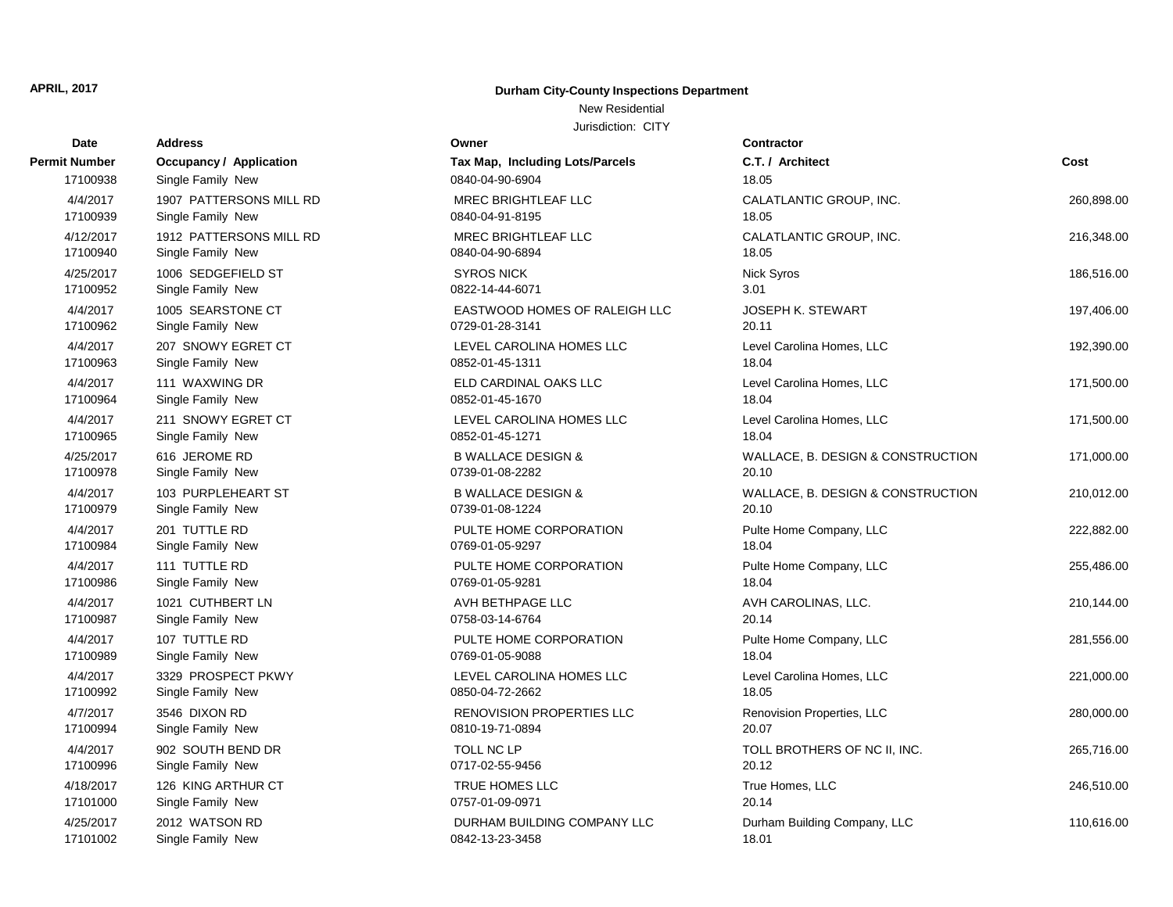#### New Residential

| <b>Date</b>   | <b>Address</b>                 | Owner                            | <b>Contractor</b>                 |            |
|---------------|--------------------------------|----------------------------------|-----------------------------------|------------|
| Permit Number | <b>Occupancy / Application</b> | Tax Map, Including Lots/Parcels  | C.T. / Architect                  | Cost       |
| 17100938      | Single Family New              | 0840-04-90-6904                  | 18.05                             |            |
| 4/4/2017      | 1907 PATTERSONS MILL RD        | <b>MREC BRIGHTLEAF LLC</b>       | CALATLANTIC GROUP, INC.           | 260,898.00 |
| 17100939      | Single Family New              | 0840-04-91-8195                  | 18.05                             |            |
| 4/12/2017     | 1912 PATTERSONS MILL RD        | <b>MREC BRIGHTLEAF LLC</b>       | CALATLANTIC GROUP, INC.           | 216,348.00 |
| 17100940      | Single Family New              | 0840-04-90-6894                  | 18.05                             |            |
| 4/25/2017     | 1006 SEDGEFIELD ST             | <b>SYROS NICK</b>                | <b>Nick Syros</b>                 | 186,516.00 |
| 17100952      | Single Family New              | 0822-14-44-6071                  | 3.01                              |            |
| 4/4/2017      | 1005 SEARSTONE CT              | EASTWOOD HOMES OF RALEIGH LLC    | <b>JOSEPH K. STEWART</b>          | 197,406.00 |
| 17100962      | Single Family New              | 0729-01-28-3141                  | 20.11                             |            |
| 4/4/2017      | 207 SNOWY EGRET CT             | LEVEL CAROLINA HOMES LLC         | Level Carolina Homes, LLC         | 192,390.00 |
| 17100963      | Single Family New              | 0852-01-45-1311                  | 18.04                             |            |
| 4/4/2017      | 111 WAXWING DR                 | ELD CARDINAL OAKS LLC            | Level Carolina Homes, LLC         | 171,500.00 |
| 17100964      | Single Family New              | 0852-01-45-1670                  | 18.04                             |            |
| 4/4/2017      | 211 SNOWY EGRET CT             | LEVEL CAROLINA HOMES LLC         | Level Carolina Homes, LLC         | 171,500.00 |
| 17100965      | Single Family New              | 0852-01-45-1271                  | 18.04                             |            |
| 4/25/2017     | 616 JEROME RD                  | <b>B WALLACE DESIGN &amp;</b>    | WALLACE, B. DESIGN & CONSTRUCTION | 171,000.00 |
| 17100978      | Single Family New              | 0739-01-08-2282                  | 20.10                             |            |
| 4/4/2017      | 103 PURPLEHEART ST             | <b>B WALLACE DESIGN &amp;</b>    | WALLACE, B. DESIGN & CONSTRUCTION | 210,012.00 |
| 17100979      | Single Family New              | 0739-01-08-1224                  | 20.10                             |            |
| 4/4/2017      | 201 TUTTLE RD                  | PULTE HOME CORPORATION           | Pulte Home Company, LLC           | 222,882.00 |
| 17100984      | Single Family New              | 0769-01-05-9297                  | 18.04                             |            |
| 4/4/2017      | 111 TUTTLE RD                  | PULTE HOME CORPORATION           | Pulte Home Company, LLC           | 255,486.00 |
| 17100986      | Single Family New              | 0769-01-05-9281                  | 18.04                             |            |
| 4/4/2017      | 1021 CUTHBERT LN               | AVH BETHPAGE LLC                 | AVH CAROLINAS, LLC.               | 210,144.00 |
| 17100987      | Single Family New              | 0758-03-14-6764                  | 20.14                             |            |
| 4/4/2017      | 107 TUTTLE RD                  | PULTE HOME CORPORATION           | Pulte Home Company, LLC           | 281,556.00 |
| 17100989      | Single Family New              | 0769-01-05-9088                  | 18.04                             |            |
| 4/4/2017      | 3329 PROSPECT PKWY             | LEVEL CAROLINA HOMES LLC         | Level Carolina Homes, LLC         | 221,000.00 |
| 17100992      | Single Family New              | 0850-04-72-2662                  | 18.05                             |            |
| 4/7/2017      | 3546 DIXON RD                  | <b>RENOVISION PROPERTIES LLC</b> | Renovision Properties, LLC        | 280,000.00 |
| 17100994      | Single Family New              | 0810-19-71-0894                  | 20.07                             |            |
| 4/4/2017      | 902 SOUTH BEND DR              | TOLL NC LP                       | TOLL BROTHERS OF NC II, INC.      | 265,716.00 |
| 17100996      | Single Family New              | 0717-02-55-9456                  | 20.12                             |            |
| 4/18/2017     | 126 KING ARTHUR CT             | TRUE HOMES LLC                   | True Homes, LLC                   | 246,510.00 |
| 17101000      | Single Family New              | 0757-01-09-0971                  | 20.14                             |            |
| 4/25/2017     | 2012 WATSON RD                 | DURHAM BUILDING COMPANY LLC      | Durham Building Company, LLC      | 110,616.00 |
| 17101002      | Single Family New              | 0842-13-23-3458                  | 18.01                             |            |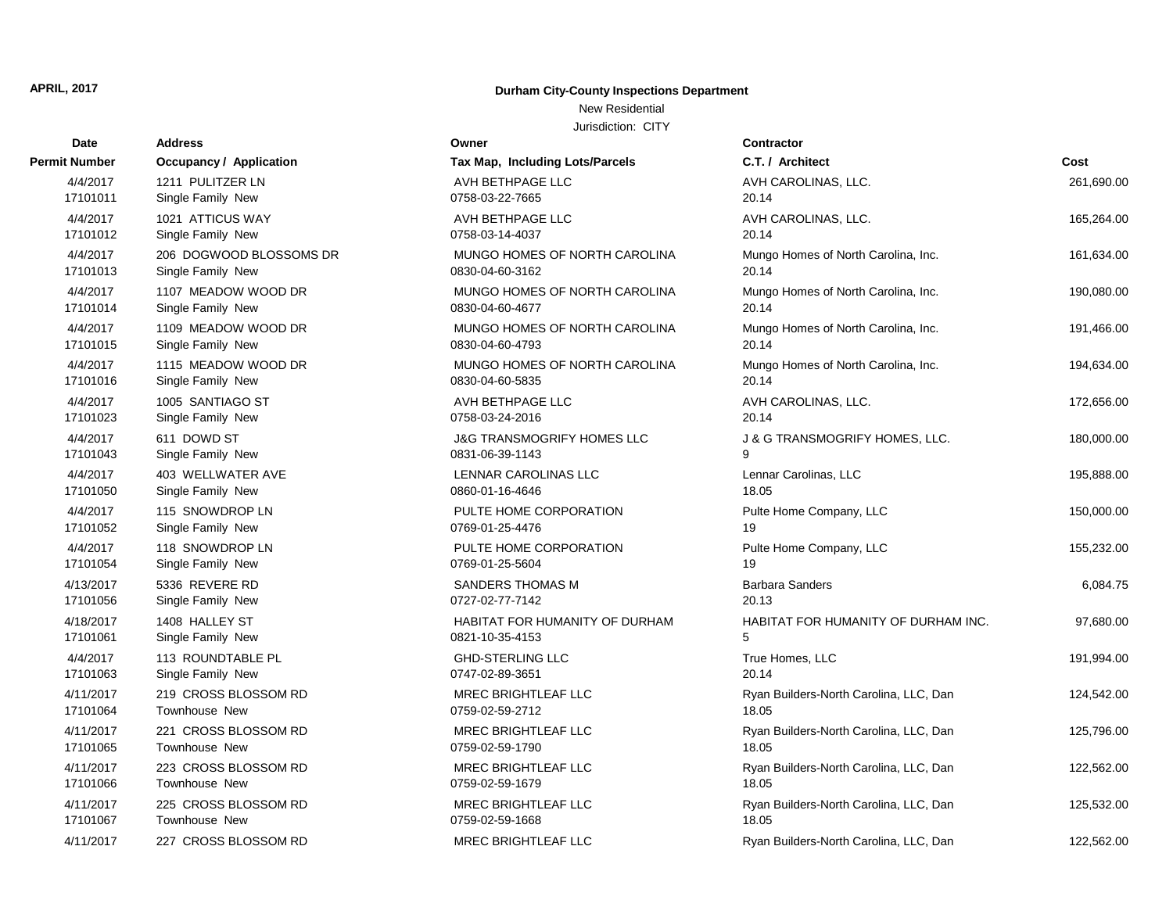# New Residential

| Date          | <b>Address</b>                 | Owner                                 | <b>Contractor</b>      |
|---------------|--------------------------------|---------------------------------------|------------------------|
| Permit Number | <b>Occupancy / Application</b> | Tax Map, Including Lots/Parcels       | C.T. / Architect       |
| 4/4/2017      | 1211 PULITZER LN               | AVH BETHPAGE LLC                      | <b>AVH CAROLINA</b>    |
| 17101011      | Single Family New              | 0758-03-22-7665                       | 20.14                  |
| 4/4/2017      | 1021 ATTICUS WAY               | AVH BETHPAGE LLC                      | <b>AVH CAROLINA</b>    |
| 17101012      | Single Family New              | 0758-03-14-4037                       | 20.14                  |
| 4/4/2017      | 206 DOGWOOD BLOSSOMS DR        | MUNGO HOMES OF NORTH CAROLINA         | Mungo Homes o          |
| 17101013      | Single Family New              | 0830-04-60-3162                       | 20.14                  |
| 4/4/2017      | 1107 MEADOW WOOD DR            | MUNGO HOMES OF NORTH CAROLINA         | Mungo Homes o          |
| 17101014      | Single Family New              | 0830-04-60-4677                       | 20.14                  |
| 4/4/2017      | 1109 MEADOW WOOD DR            | MUNGO HOMES OF NORTH CAROLINA         | Mungo Homes o          |
| 17101015      | Single Family New              | 0830-04-60-4793                       | 20.14                  |
| 4/4/2017      | 1115 MEADOW WOOD DR            | MUNGO HOMES OF NORTH CAROLINA         | Mungo Homes o          |
| 17101016      | Single Family New              | 0830-04-60-5835                       | 20.14                  |
| 4/4/2017      | 1005 SANTIAGO ST               | AVH BETHPAGE LLC                      | <b>AVH CAROLINA</b>    |
| 17101023      | Single Family New              | 0758-03-24-2016                       | 20.14                  |
| 4/4/2017      | 611 DOWD ST                    | <b>J&amp;G TRANSMOGRIFY HOMES LLC</b> | J & G TRANSM           |
| 17101043      | Single Family New              | 0831-06-39-1143                       | 9                      |
| 4/4/2017      | 403 WELLWATER AVE              | LENNAR CAROLINAS LLC                  | Lennar Carolinas       |
| 17101050      | Single Family New              | 0860-01-16-4646                       | 18.05                  |
| 4/4/2017      | 115 SNOWDROP LN                | PULTE HOME CORPORATION                | Pulte Home Con         |
| 17101052      | Single Family New              | 0769-01-25-4476                       | 19                     |
| 4/4/2017      | 118 SNOWDROP LN                | PULTE HOME CORPORATION                | Pulte Home Con         |
| 17101054      | Single Family New              | 0769-01-25-5604                       | 19                     |
| 4/13/2017     | 5336 REVERE RD                 | <b>SANDERS THOMAS M</b>               | <b>Barbara Sanders</b> |
| 17101056      | Single Family New              | 0727-02-77-7142                       | 20.13                  |
| 4/18/2017     | 1408 HALLEY ST                 | HABITAT FOR HUMANITY OF DURHAM        | <b>HABITAT FOR I</b>   |
| 17101061      | Single Family New              | 0821-10-35-4153                       | 5                      |
| 4/4/2017      | 113 ROUNDTABLE PL              | <b>GHD-STERLING LLC</b>               | True Homes, LL         |
| 17101063      | Single Family New              | 0747-02-89-3651                       | 20.14                  |
| 4/11/2017     | 219 CROSS BLOSSOM RD           | <b>MREC BRIGHTLEAF LLC</b>            | Ryan Builders-N        |
| 17101064      | Townhouse New                  | 0759-02-59-2712                       | 18.05                  |
| 4/11/2017     | 221 CROSS BLOSSOM RD           | MREC BRIGHTLEAF LLC                   | Ryan Builders-N        |
| 17101065      | Townhouse New                  | 0759-02-59-1790                       | 18.05                  |
| 4/11/2017     | 223 CROSS BLOSSOM RD           | <b>MREC BRIGHTLEAF LLC</b>            | Ryan Builders-N        |
| 17101066      | Townhouse New                  | 0759-02-59-1679                       | 18.05                  |
| 4/11/2017     | 225 CROSS BLOSSOM RD           | <b>MREC BRIGHTLEAF LLC</b>            | Ryan Builders-N        |
| 17101067      | Townhouse New                  | 0759-02-59-1668                       | 18.05                  |
| 4/11/2017     | 227 CROSS BLOSSOM RD           | <b>MREC BRIGHTLEAF LLC</b>            | Ryan Builders-N        |

| Owner                                                    |
|----------------------------------------------------------|
| Tax Map, Including Lots/Parcels                          |
| AVH BETHPAGE LLC                                         |
| 0758-03-22-7665                                          |
| AVH BETHPAGE LLC<br>0758-03-14-4037                      |
| MUNGO HOMES OF NORTH CAROLINA<br>0830-04-60-3162         |
| MUNGO HOMES OF NORTH CAROLINA<br>0830-04-60-4677         |
| MUNGO HOMES OF NORTH CAROLINA<br>0830-04-60-4793         |
| MUNGO HOMES OF NORTH CAROLINA<br>0830-04-60-5835         |
| AVH BETHPAGE LLC<br>0758-03-24-2016                      |
| <b>J&amp;G TRANSMOGRIFY HOMES LLC</b><br>0831-06-39-1143 |
| <b>LENNAR CAROLINAS LLC</b><br>0860-01-16-4646           |
| PULTE HOME CORPORATION<br>0769-01-25-4476                |
| PULTE HOME CORPORATION<br>0769-01-25-5604                |
| <b>SANDERS THOMAS M</b><br>0727-02-77-7142               |
| <b>HABITAT FOR HUMANITY OF DURHAM</b><br>0821-10-35-4153 |
| <b>GHD-STERLING LLC</b><br>0747-02-89-3651               |
| MREC BRIGHTLEAF LLC<br>0759-02-59-2712                   |
| MREC BRIGHTLEAF LLC<br>0759-02-59-1790                   |
| <b>MREC BRIGHTLEAF LLC</b><br>0759-02-59-1679            |
| <b>MREC BRIGHTLEAF LLC</b><br>0759-02-59-1668            |
| <b>MREC BRIGHTLEAF LLC</b>                               |

| Date                  | Address                                      | Owner                                         | <b>Contractor</b>                               |            |
|-----------------------|----------------------------------------------|-----------------------------------------------|-------------------------------------------------|------------|
| t Number              | Occupancy / Application                      | Tax Map, Including Lots/Parcels               | C.T. / Architect                                | Cost       |
| 4/4/2017              | 1211 PULITZER LN                             | AVH BETHPAGE LLC                              | AVH CAROLINAS, LLC.                             | 261,690.00 |
| 17101011              | Single Family New                            | 0758-03-22-7665                               | 20.14                                           |            |
| 4/4/2017              | 1021 ATTICUS WAY                             | AVH BETHPAGE LLC                              | AVH CAROLINAS, LLC.                             | 165,264.00 |
| 17101012              | Single Family New                            | 0758-03-14-4037                               | 20.14                                           |            |
| 4/4/2017              | 206 DOGWOOD BLOSSOMS DR                      | MUNGO HOMES OF NORTH CAROLINA                 | Mungo Homes of North Carolina, Inc.             | 161,634.00 |
| 17101013              | Single Family New                            | 0830-04-60-3162                               | 20.14                                           |            |
| 4/4/2017              | 1107 MEADOW WOOD DR                          | MUNGO HOMES OF NORTH CAROLINA                 | Mungo Homes of North Carolina, Inc.             | 190,080.00 |
| 17101014              | Single Family New                            | 0830-04-60-4677                               | 20.14                                           |            |
| 4/4/2017              | 1109 MEADOW WOOD DR                          | MUNGO HOMES OF NORTH CAROLINA                 | Mungo Homes of North Carolina, Inc.             | 191,466.00 |
| 17101015              | Single Family New                            | 0830-04-60-4793                               | 20.14                                           |            |
| 4/4/2017              | 1115 MEADOW WOOD DR                          | MUNGO HOMES OF NORTH CAROLINA                 | Mungo Homes of North Carolina, Inc.             | 194,634.00 |
| 17101016              | Single Family New                            | 0830-04-60-5835                               | 20.14                                           |            |
| 4/4/2017<br>17101023  | 1005 SANTIAGO ST<br>Single Family New        | AVH BETHPAGE LLC<br>0758-03-24-2016           | AVH CAROLINAS, LLC.<br>20.14                    | 172,656.00 |
|                       | 611 DOWD ST                                  | <b>J&amp;G TRANSMOGRIFY HOMES LLC</b>         |                                                 |            |
| 4/4/2017<br>17101043  | Single Family New                            | 0831-06-39-1143                               | <b>J &amp; G TRANSMOGRIFY HOMES, LLC.</b><br>q  | 180,000.00 |
| 4/4/2017              | 403 WELLWATER AVE                            | LENNAR CAROLINAS LLC                          | Lennar Carolinas, LLC                           | 195,888.00 |
| 17101050              | Single Family New                            | 0860-01-16-4646                               | 18.05                                           |            |
| 4/4/2017              | 115 SNOWDROP LN                              | PULTE HOME CORPORATION                        | Pulte Home Company, LLC                         | 150,000.00 |
| 17101052              | Single Family New                            | 0769-01-25-4476                               | 19                                              |            |
| 4/4/2017              | 118 SNOWDROP LN                              | PULTE HOME CORPORATION                        | Pulte Home Company, LLC                         | 155,232.00 |
| 17101054              | Single Family New                            | 0769-01-25-5604                               | 19                                              |            |
| 4/13/2017             | 5336 REVERE RD                               | <b>SANDERS THOMAS M</b>                       | <b>Barbara Sanders</b>                          | 6,084.75   |
| 17101056              | Single Family New                            | 0727-02-77-7142                               | 20.13                                           |            |
| 4/18/2017             | 1408 HALLEY ST                               | HABITAT FOR HUMANITY OF DURHAM                | HABITAT FOR HUMANITY OF DURHAM INC.             | 97,680.00  |
| 17101061              | Single Family New                            | 0821-10-35-4153                               | 5                                               |            |
| 4/4/2017              | 113 ROUNDTABLE PL                            | <b>GHD-STERLING LLC</b>                       | True Homes, LLC                                 | 191,994.00 |
| 17101063              | Single Family New                            | 0747-02-89-3651                               | 20.14                                           |            |
| 4/11/2017             | 219 CROSS BLOSSOM RD                         | <b>MREC BRIGHTLEAF LLC</b>                    | Ryan Builders-North Carolina, LLC, Dan          | 124,542.00 |
| 17101064              | Townhouse New                                | 0759-02-59-2712                               | 18.05                                           |            |
| 4/11/2017             | 221 CROSS BLOSSOM RD<br>Townhouse New        | <b>MREC BRIGHTLEAF LLC</b>                    | Ryan Builders-North Carolina, LLC, Dan<br>18.05 | 125,796.00 |
| 17101065              |                                              | 0759-02-59-1790                               |                                                 |            |
| 4/11/2017<br>17101066 | 223 CROSS BLOSSOM RD<br><b>Townhouse New</b> | <b>MREC BRIGHTLEAF LLC</b><br>0759-02-59-1679 | Ryan Builders-North Carolina, LLC, Dan<br>18.05 | 122,562.00 |
| 4/11/2017             | 225 CROSS BLOSSOM RD                         | <b>MREC BRIGHTLEAF LLC</b>                    | Ryan Builders-North Carolina, LLC, Dan          | 125,532.00 |
| 17101067              | Townhouse New                                | 0759-02-59-1668                               | 18.05                                           |            |
| 4/11/2017             | 227 CROSS BLOSSOM RD                         | <b>MREC BRIGHTLEAF LLC</b>                    | Ryan Builders-North Carolina, LLC, Dan          | 122,562.00 |
|                       |                                              |                                               |                                                 |            |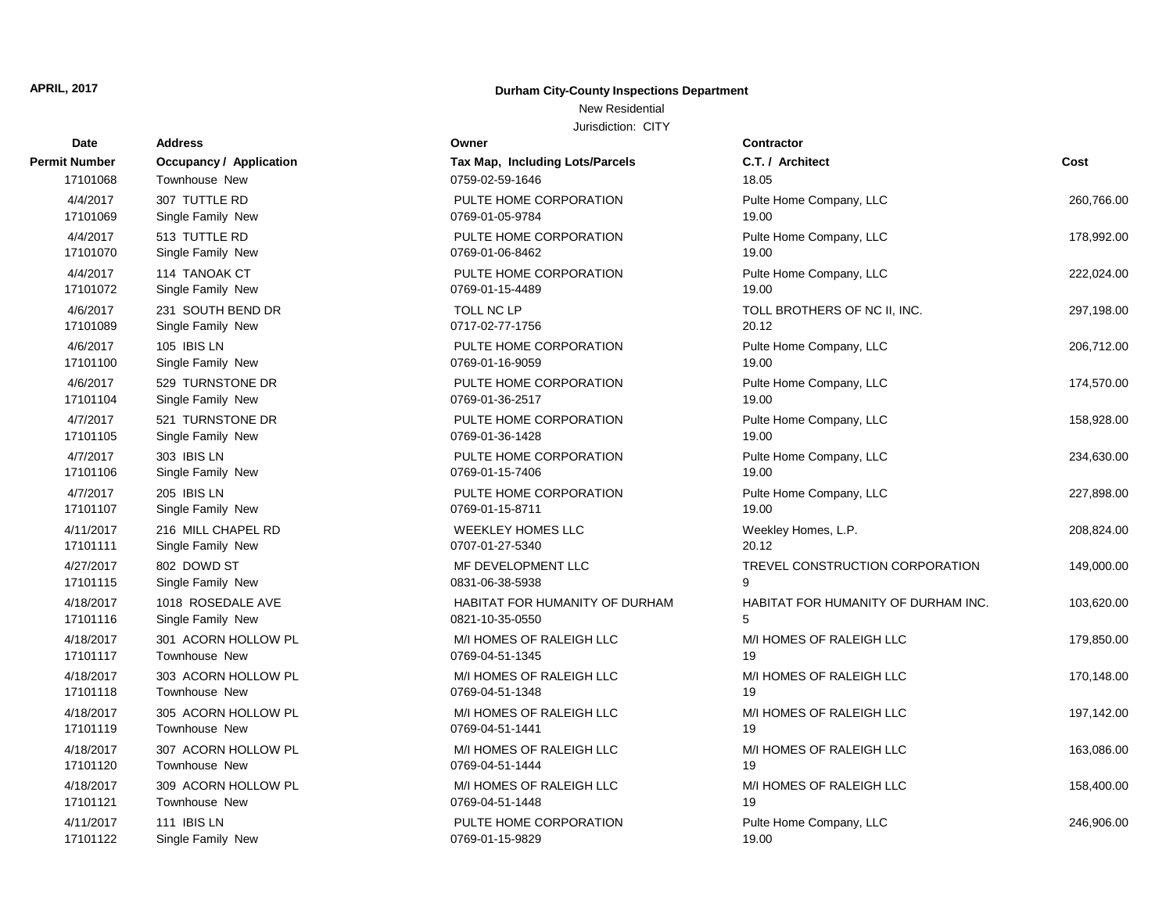#### New Residential

| Date          | <b>Address</b>          | Owner                           | Contractor                          |            |
|---------------|-------------------------|---------------------------------|-------------------------------------|------------|
| Permit Number | Occupancy / Application | Tax Map, Including Lots/Parcels | C.T. / Architect                    | Cost       |
| 17101068      | Townhouse New           | 0759-02-59-1646                 | 18.05                               |            |
| 4/4/2017      | 307 TUTTLE RD           | PULTE HOME CORPORATION          | Pulte Home Company, LLC             | 260,766.00 |
| 17101069      | Single Family New       | 0769-01-05-9784                 | 19.00                               |            |
| 4/4/2017      | 513 TUTTLE RD           | PULTE HOME CORPORATION          | Pulte Home Company, LLC             | 178,992.00 |
| 17101070      | Single Family New       | 0769-01-06-8462                 | 19.00                               |            |
| 4/4/2017      | 114 TANOAK CT           | PULTE HOME CORPORATION          | Pulte Home Company, LLC             | 222,024.00 |
| 17101072      | Single Family New       | 0769-01-15-4489                 | 19.00                               |            |
| 4/6/2017      | 231 SOUTH BEND DR       | <b>TOLL NC LP</b>               | TOLL BROTHERS OF NC II, INC.        | 297,198.00 |
| 17101089      | Single Family New       | 0717-02-77-1756                 | 20.12                               |            |
| 4/6/2017      | 105 IBIS LN             | PULTE HOME CORPORATION          | Pulte Home Company, LLC             | 206,712.00 |
| 17101100      | Single Family New       | 0769-01-16-9059                 | 19.00                               |            |
| 4/6/2017      | 529 TURNSTONE DR        | PULTE HOME CORPORATION          | Pulte Home Company, LLC             | 174,570.00 |
| 17101104      | Single Family New       | 0769-01-36-2517                 | 19.00                               |            |
| 4/7/2017      | 521 TURNSTONE DR        | PULTE HOME CORPORATION          | Pulte Home Company, LLC             | 158,928.00 |
| 17101105      | Single Family New       | 0769-01-36-1428                 | 19.00                               |            |
| 4/7/2017      | 303 IBIS LN             | PULTE HOME CORPORATION          | Pulte Home Company, LLC             | 234,630.00 |
| 17101106      | Single Family New       | 0769-01-15-7406                 | 19.00                               |            |
| 4/7/2017      | 205 IBIS LN             | PULTE HOME CORPORATION          | Pulte Home Company, LLC             | 227,898.00 |
| 17101107      | Single Family New       | 0769-01-15-8711                 | 19.00                               |            |
| 4/11/2017     | 216 MILL CHAPEL RD      | <b>WEEKLEY HOMES LLC</b>        | Weekley Homes, L.P.                 | 208,824.00 |
| 17101111      | Single Family New       | 0707-01-27-5340                 | 20.12                               |            |
| 4/27/2017     | 802 DOWD ST             | MF DEVELOPMENT LLC              | TREVEL CONSTRUCTION CORPORATION     | 149,000.00 |
| 17101115      | Single Family New       | 0831-06-38-5938                 | 9                                   |            |
| 4/18/2017     | 1018 ROSEDALE AVE       | HABITAT FOR HUMANITY OF DURHAM  | HABITAT FOR HUMANITY OF DURHAM INC. | 103,620.00 |
| 17101116      | Single Family New       | 0821-10-35-0550                 | 5                                   |            |
| 4/18/2017     | 301 ACORN HOLLOW PL     | M/I HOMES OF RALEIGH LLC        | M/I HOMES OF RALEIGH LLC            | 179,850.00 |
| 17101117      | Townhouse New           | 0769-04-51-1345                 | 19                                  |            |
| 4/18/2017     | 303 ACORN HOLLOW PL     | M/I HOMES OF RALEIGH LLC        | M/I HOMES OF RALEIGH LLC            | 170,148.00 |
| 17101118      | Townhouse New           | 0769-04-51-1348                 | 19                                  |            |
| 4/18/2017     | 305 ACORN HOLLOW PL     | M/I HOMES OF RALEIGH LLC        | M/I HOMES OF RALEIGH LLC            | 197,142.00 |
| 17101119      | Townhouse New           | 0769-04-51-1441                 | 19                                  |            |
| 4/18/2017     | 307 ACORN HOLLOW PL     | M/I HOMES OF RALEIGH LLC        | M/I HOMES OF RALEIGH LLC            | 163,086.00 |
| 17101120      | Townhouse New           | 0769-04-51-1444                 | 19                                  |            |
| 4/18/2017     | 309 ACORN HOLLOW PL     | M/I HOMES OF RALEIGH LLC        | M/I HOMES OF RALEIGH LLC            | 158,400.00 |
| 17101121      | Townhouse New           | 0769-04-51-1448                 | 19                                  |            |
| 4/11/2017     | 111 IBIS LN             | PULTE HOME CORPORATION          | Pulte Home Company, LLC             | 246,906.00 |
| 17101122      | Single Family New       | 0769-01-15-9829                 | 19.00                               |            |

| rmit Number           | <b>Occupancy / Application</b>         |
|-----------------------|----------------------------------------|
| 17101068              | <b>Townhouse New</b>                   |
| 4/4/2017              | 307 TUTTLE RD                          |
| 17101069              | Single Family New                      |
| 4/4/2017              | 513 TUTTLE RD                          |
| 17101070              | Single Family New                      |
| 4/4/2017              | 114 TANOAK CT                          |
| 17101072              | Single Family New                      |
| 4/6/2017              | 231 SOUTH BEND DR                      |
| 17101089              | Single Family New                      |
| 4/6/2017              | 105 IBIS LN                            |
| 17101100              | Single Family New                      |
| 4/6/2017              | 529 TURNSTONE DR                       |
| 17101104              | Single Family New                      |
| 4/7/2017              | 521 TURNSTONE DR                       |
| 17101105              | Single Family New                      |
| 4/7/2017              | 303 IBIS LN                            |
| 17101106              | Single Family New                      |
| 4/7/2017              | 205 IBIS LN                            |
| 17101107              | Single Family New                      |
| 4/11/2017<br>17101111 | 216 MILL CHAPEL RD                     |
|                       | Single Family New                      |
| 4/27/2017<br>17101115 | 802 DOWD ST<br>Single Family New       |
|                       |                                        |
| 4/18/2017<br>17101116 | 1018 ROSEDALE AVE<br>Single Family New |
| 4/18/2017             | 301 ACORN HOLLOW PL                    |
| 17101117              | Townhouse New                          |
| 4/18/2017             | 303 ACORN HOLLOW PL                    |
| 17101118              | <b>Townhouse New</b>                   |
| 4/18/2017             | 305 ACORN HOLLOW PL                    |
| 17101119              | Townhouse New                          |
| 4/18/2017             | 307 ACORN HOLLOW PL                    |
| 17101120              | Townhouse New                          |
| 4/18/2017             | 309 ACORN HOLLOW PL                    |
| 17101121              | Townhouse New                          |
| 4/11/2017             | 111 IBIS LN                            |
| 17101122              | Single Family New                      |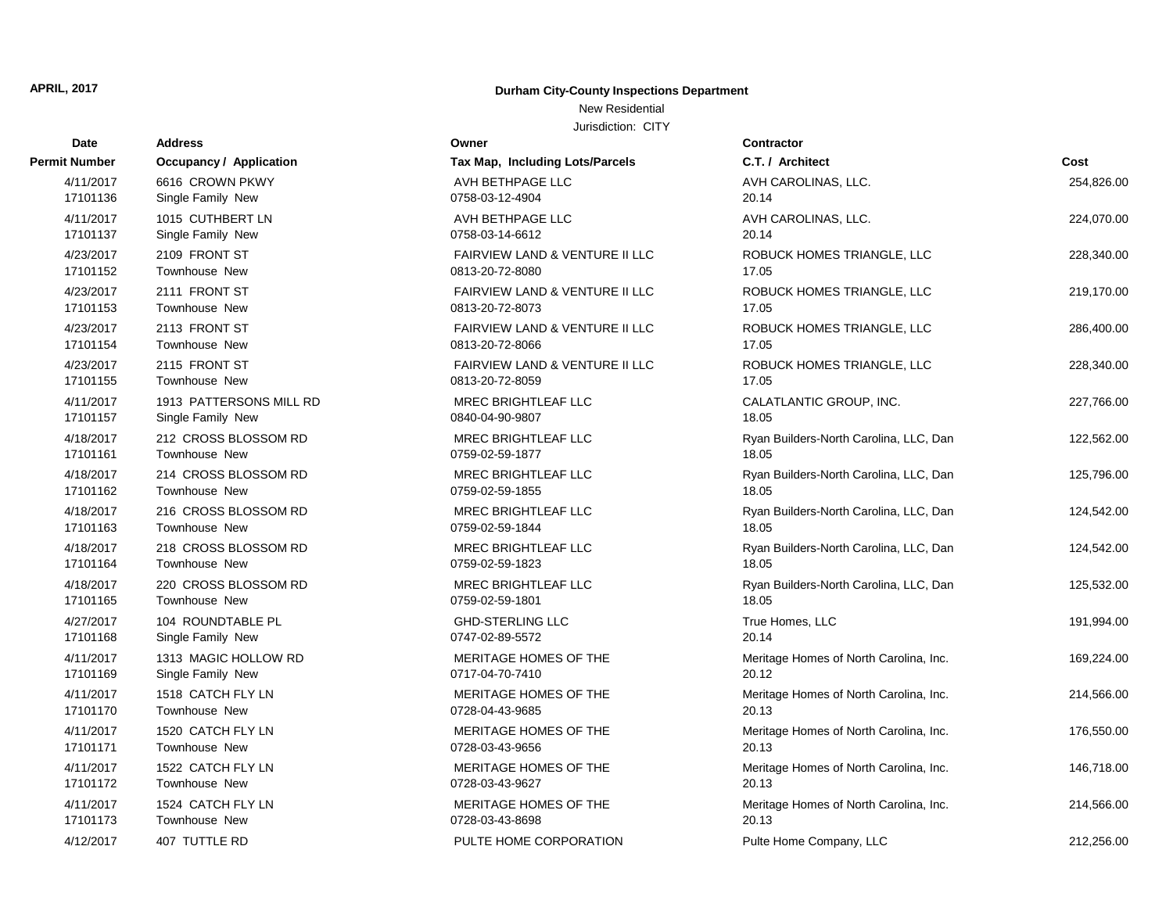Address **Permit Number Occupancy / Application** 

#### **APRIL, 2017 Durham City-County Inspections Department**

#### New Residential

| Date                  | <b>Address</b>                        | Owner                                         | <b>Contractor</b>                               |            |
|-----------------------|---------------------------------------|-----------------------------------------------|-------------------------------------------------|------------|
| t Number              | <b>Occupancy / Application</b>        | Tax Map, Including Lots/Parcels               | C.T. / Architect                                | Cost       |
| 4/11/2017             | 6616 CROWN PKWY                       | AVH BETHPAGE LLC                              | AVH CAROLINAS, LLC.                             | 254,826.00 |
| 17101136              | Single Family New                     | 0758-03-12-4904                               | 20.14                                           |            |
| 4/11/2017             | 1015 CUTHBERT LN                      | AVH BETHPAGE LLC                              | AVH CAROLINAS, LLC.                             | 224,070.00 |
| 17101137              | Single Family New                     | 0758-03-14-6612                               | 20.14                                           |            |
| 4/23/2017             | 2109 FRONT ST                         | FAIRVIEW LAND & VENTURE II LLC                | ROBUCK HOMES TRIANGLE, LLC                      | 228,340.00 |
| 17101152              | Townhouse New                         | 0813-20-72-8080                               | 17.05                                           |            |
| 4/23/2017             | 2111 FRONT ST                         | FAIRVIEW LAND & VENTURE II LLC                | ROBUCK HOMES TRIANGLE, LLC                      | 219,170.00 |
| 17101153              | Townhouse New                         | 0813-20-72-8073                               | 17.05                                           |            |
| 4/23/2017             | 2113 FRONT ST                         | FAIRVIEW LAND & VENTURE II LLC                | ROBUCK HOMES TRIANGLE, LLC                      | 286,400.00 |
| 17101154              | Townhouse New                         | 0813-20-72-8066                               | 17.05                                           |            |
| 4/23/2017             | 2115 FRONT ST                         | <b>FAIRVIEW LAND &amp; VENTURE II LLC</b>     | ROBUCK HOMES TRIANGLE, LLC                      | 228,340.00 |
| 17101155              | Townhouse New                         | 0813-20-72-8059                               | 17.05                                           |            |
| 4/11/2017             | 1913 PATTERSONS MILL RD               | MREC BRIGHTLEAF LLC                           | CALATLANTIC GROUP, INC.                         | 227,766.00 |
| 17101157              | Single Family New                     | 0840-04-90-9807                               | 18.05                                           |            |
| 4/18/2017             | 212 CROSS BLOSSOM RD                  | <b>MREC BRIGHTLEAF LLC</b>                    | Ryan Builders-North Carolina, LLC, Dan          | 122,562.00 |
| 17101161              | Townhouse New                         | 0759-02-59-1877                               | 18.05                                           |            |
| 4/18/2017<br>17101162 | 214 CROSS BLOSSOM RD<br>Townhouse New | <b>MREC BRIGHTLEAF LLC</b><br>0759-02-59-1855 | Ryan Builders-North Carolina, LLC, Dan<br>18.05 | 125,796.00 |
|                       |                                       |                                               |                                                 |            |
| 4/18/2017<br>17101163 | 216 CROSS BLOSSOM RD<br>Townhouse New | MREC BRIGHTLEAF LLC<br>0759-02-59-1844        | Ryan Builders-North Carolina, LLC, Dan<br>18.05 | 124,542.00 |
| 4/18/2017             | 218 CROSS BLOSSOM RD                  | MREC BRIGHTLEAF LLC                           | Ryan Builders-North Carolina, LLC, Dan          | 124,542.00 |
| 17101164              | Townhouse New                         | 0759-02-59-1823                               | 18.05                                           |            |
| 4/18/2017             | 220 CROSS BLOSSOM RD                  | MREC BRIGHTLEAF LLC                           | Ryan Builders-North Carolina, LLC, Dan          | 125,532.00 |
| 17101165              | Townhouse New                         | 0759-02-59-1801                               | 18.05                                           |            |
| 4/27/2017             | 104 ROUNDTABLE PL                     | <b>GHD-STERLING LLC</b>                       | True Homes, LLC                                 | 191,994.00 |
| 17101168              | Single Family New                     | 0747-02-89-5572                               | 20.14                                           |            |
| 4/11/2017             | 1313 MAGIC HOLLOW RD                  | MERITAGE HOMES OF THE                         | Meritage Homes of North Carolina, Inc.          | 169,224.00 |
| 17101169              | Single Family New                     | 0717-04-70-7410                               | 20.12                                           |            |
| 4/11/2017             | 1518 CATCH FLY LN                     | MERITAGE HOMES OF THE                         | Meritage Homes of North Carolina, Inc.          | 214,566.00 |
| 17101170              | Townhouse New                         | 0728-04-43-9685                               | 20.13                                           |            |
| 4/11/2017             | 1520 CATCH FLY LN                     | MERITAGE HOMES OF THE                         | Meritage Homes of North Carolina, Inc.          | 176,550.00 |
| 17101171              | Townhouse New                         | 0728-03-43-9656                               | 20.13                                           |            |
| 4/11/2017             | 1522 CATCH FLY LN                     | MERITAGE HOMES OF THE                         | Meritage Homes of North Carolina, Inc.          | 146,718.00 |
| 17101172              | Townhouse New                         | 0728-03-43-9627                               | 20.13                                           |            |
| 4/11/2017             | 1524 CATCH FLY LN                     | MERITAGE HOMES OF THE                         | Meritage Homes of North Carolina, Inc.          | 214,566.00 |
| 17101173              | Townhouse New                         | 0728-03-43-8698                               | 20.13                                           |            |
| 4/12/2017             | 407 TUTTLE RD                         | PULTE HOME CORPORATION                        | Pulte Home Company, LLC                         | 212,256.00 |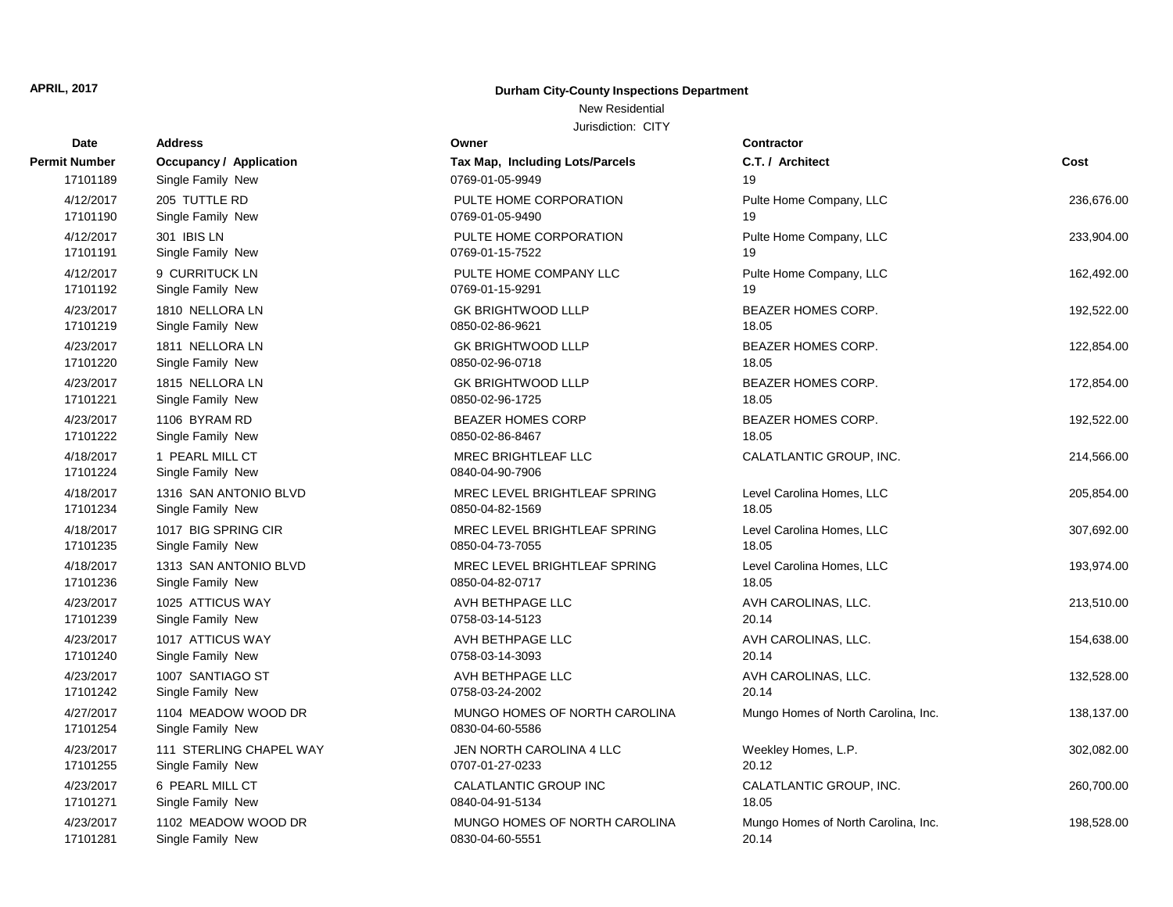### New Residential

| Date                  | <b>Address</b>                        | Owner                               | <b>Contractor</b>                   |            |
|-----------------------|---------------------------------------|-------------------------------------|-------------------------------------|------------|
| Permit Number         | <b>Occupancy / Application</b>        | Tax Map, Including Lots/Parcels     | C.T. / Architect                    | Cost       |
| 17101189              | Single Family New                     | 0769-01-05-9949                     | 19                                  |            |
| 4/12/2017             | 205 TUTTLE RD                         | PULTE HOME CORPORATION              | Pulte Home Company, LLC             | 236,676.00 |
| 17101190              | Single Family New                     | 0769-01-05-9490                     | 19                                  |            |
| 4/12/2017             | 301 IBIS LN                           | PULTE HOME CORPORATION              | Pulte Home Company, LLC             | 233,904.00 |
| 17101191              | Single Family New                     | 0769-01-15-7522                     | 19                                  |            |
| 4/12/2017             | 9 CURRITUCK LN                        | PULTE HOME COMPANY LLC              | Pulte Home Company, LLC             | 162,492.00 |
| 17101192              | Single Family New                     | 0769-01-15-9291                     | 19                                  |            |
| 4/23/2017             | 1810 NELLORA LN                       | <b>GK BRIGHTWOOD LLLP</b>           | BEAZER HOMES CORP.                  | 192,522.00 |
| 17101219              | Single Family New                     | 0850-02-86-9621                     | 18.05                               |            |
| 4/23/2017             | 1811 NELLORA LN                       | <b>GK BRIGHTWOOD LLLP</b>           | BEAZER HOMES CORP.                  | 122,854.00 |
| 17101220              | Single Family New                     | 0850-02-96-0718                     | 18.05                               |            |
| 4/23/2017             | 1815 NELLORA LN                       | <b>GK BRIGHTWOOD LLLP</b>           | BEAZER HOMES CORP.                  | 172,854.00 |
| 17101221              | Single Family New                     | 0850-02-96-1725                     | 18.05                               |            |
| 4/23/2017             | 1106 BYRAM RD                         | <b>BEAZER HOMES CORP</b>            | <b>BEAZER HOMES CORP.</b>           | 192,522.00 |
| 17101222              | Single Family New                     | 0850-02-86-8467                     | 18.05                               |            |
| 4/18/2017             | 1 PEARL MILL CT                       | MREC BRIGHTLEAF LLC                 | CALATLANTIC GROUP, INC.             | 214,566.00 |
| 17101224              | Single Family New                     | 0840-04-90-7906                     |                                     |            |
| 4/18/2017             | 1316 SAN ANTONIO BLVD                 | MREC LEVEL BRIGHTLEAF SPRING        | Level Carolina Homes, LLC           | 205,854.00 |
| 17101234              | Single Family New                     | 0850-04-82-1569                     | 18.05                               |            |
| 4/18/2017             | 1017 BIG SPRING CIR                   | MREC LEVEL BRIGHTLEAF SPRING        | Level Carolina Homes, LLC           | 307,692.00 |
| 17101235              | Single Family New                     | 0850-04-73-7055                     | 18.05                               |            |
| 4/18/2017             | 1313 SAN ANTONIO BLVD                 | MREC LEVEL BRIGHTLEAF SPRING        | Level Carolina Homes, LLC           | 193,974.00 |
| 17101236              | Single Family New                     | 0850-04-82-0717                     | 18.05                               |            |
| 4/23/2017<br>17101239 | 1025 ATTICUS WAY<br>Single Family New | AVH BETHPAGE LLC<br>0758-03-14-5123 | AVH CAROLINAS, LLC.<br>20.14        | 213,510.00 |
|                       |                                       |                                     |                                     |            |
| 4/23/2017<br>17101240 | 1017 ATTICUS WAY<br>Single Family New | AVH BETHPAGE LLC<br>0758-03-14-3093 | AVH CAROLINAS, LLC.<br>20.14        | 154,638.00 |
| 4/23/2017             | 1007 SANTIAGO ST                      | AVH BETHPAGE LLC                    | AVH CAROLINAS, LLC.                 | 132,528.00 |
| 17101242              | Single Family New                     | 0758-03-24-2002                     | 20.14                               |            |
| 4/27/2017             | 1104 MEADOW WOOD DR                   | MUNGO HOMES OF NORTH CAROLINA       | Mungo Homes of North Carolina, Inc. | 138,137.00 |
| 17101254              | Single Family New                     | 0830-04-60-5586                     |                                     |            |
| 4/23/2017             | 111 STERLING CHAPEL WAY               | JEN NORTH CAROLINA 4 LLC            | Weekley Homes, L.P.                 | 302,082.00 |
| 17101255              | Single Family New                     | 0707-01-27-0233                     | 20.12                               |            |
| 4/23/2017             | 6 PEARL MILL CT                       | CALATLANTIC GROUP INC               | CALATLANTIC GROUP, INC.             | 260,700.00 |
| 17101271              | Single Family New                     | 0840-04-91-5134                     | 18.05                               |            |
| 4/23/2017             | 1102 MEADOW WOOD DR                   | MUNGO HOMES OF NORTH CAROLINA       | Mungo Homes of North Carolina, Inc. | 198,528.00 |
| 17101281              | Single Family New                     | 0830-04-60-5551                     | 20.14                               |            |
|                       |                                       |                                     |                                     |            |